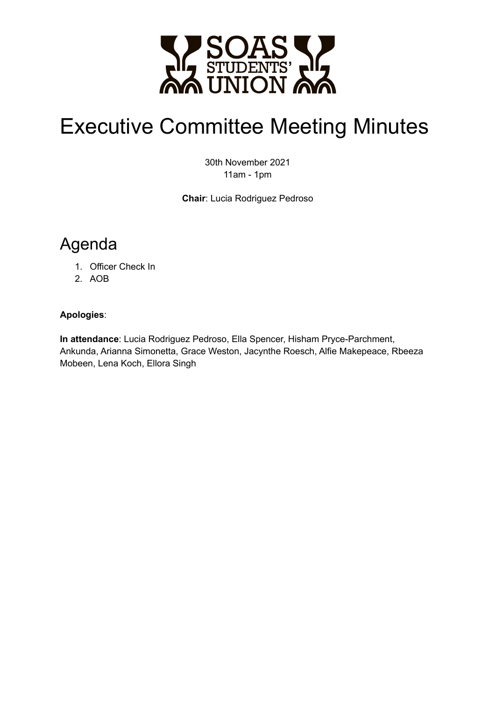

# Executive Committee Meeting Minutes

30th November 2021 11am - 1pm

**Chair**: Lucia Rodriguez Pedroso

# Agenda

- 1. Officer Check In
- 2. AOB

#### **Apologies**:

**In attendance**: Lucia Rodriguez Pedroso, Ella Spencer, Hisham Pryce-Parchment, Ankunda, Arianna Simonetta, Grace Weston, Jacynthe Roesch, Alfie Makepeace, Rbeeza Mobeen, Lena Koch, Ellora Singh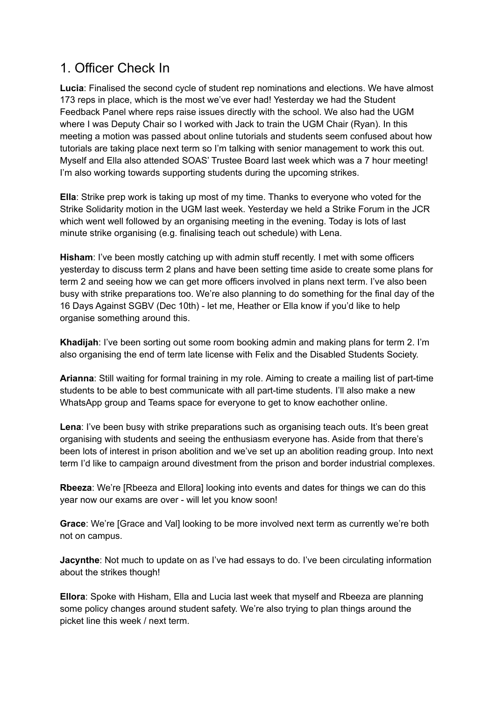## 1. Officer Check In

**Lucia**: Finalised the second cycle of student rep nominations and elections. We have almost 173 reps in place, which is the most we've ever had! Yesterday we had the Student Feedback Panel where reps raise issues directly with the school. We also had the UGM where I was Deputy Chair so I worked with Jack to train the UGM Chair (Ryan). In this meeting a motion was passed about online tutorials and students seem confused about how tutorials are taking place next term so I'm talking with senior management to work this out. Myself and Ella also attended SOAS' Trustee Board last week which was a 7 hour meeting! I'm also working towards supporting students during the upcoming strikes.

**Ella**: Strike prep work is taking up most of my time. Thanks to everyone who voted for the Strike Solidarity motion in the UGM last week. Yesterday we held a Strike Forum in the JCR which went well followed by an organising meeting in the evening. Today is lots of last minute strike organising (e.g. finalising teach out schedule) with Lena.

**Hisham**: I've been mostly catching up with admin stuff recently. I met with some officers yesterday to discuss term 2 plans and have been setting time aside to create some plans for term 2 and seeing how we can get more officers involved in plans next term. I've also been busy with strike preparations too. We're also planning to do something for the final day of the 16 Days Against SGBV (Dec 10th) - let me, Heather or Ella know if you'd like to help organise something around this.

**Khadijah**: I've been sorting out some room booking admin and making plans for term 2. I'm also organising the end of term late license with Felix and the Disabled Students Society.

**Arianna**: Still waiting for formal training in my role. Aiming to create a mailing list of part-time students to be able to best communicate with all part-time students. I'll also make a new WhatsApp group and Teams space for everyone to get to know eachother online.

**Lena**: I've been busy with strike preparations such as organising teach outs. It's been great organising with students and seeing the enthusiasm everyone has. Aside from that there's been lots of interest in prison abolition and we've set up an abolition reading group. Into next term I'd like to campaign around divestment from the prison and border industrial complexes.

**Rbeeza**: We're [Rbeeza and Ellora] looking into events and dates for things we can do this year now our exams are over - will let you know soon!

**Grace**: We're [Grace and Val] looking to be more involved next term as currently we're both not on campus.

**Jacynthe**: Not much to update on as I've had essays to do. I've been circulating information about the strikes though!

**Ellora**: Spoke with Hisham, Ella and Lucia last week that myself and Rbeeza are planning some policy changes around student safety. We're also trying to plan things around the picket line this week / next term.